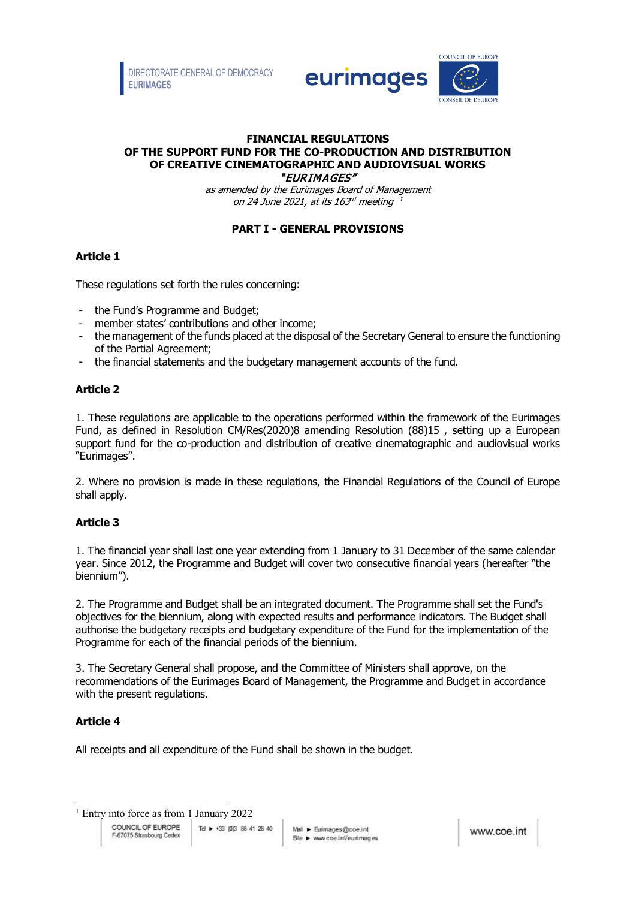

#### **FINANCIAL REGULATIONS OF THE SUPPORT FUND FOR THE CO-PRODUCTION AND DISTRIBUTION OF CREATIVE CINEMATOGRAPHIC AND AUDIOVISUAL WORKS**  "EURIMAGES"

as amended by the Eurimages Board of Management on 24 June 2021, at its 163rd meeting 1

# **PART I - GENERAL PROVISIONS**

# **Article 1**

These regulations set forth the rules concerning:

- the Fund's Programme and Budget;
- member states' contributions and other income:
- the management of the funds placed at the disposal of the Secretary General to ensure the functioning of the Partial Agreement;
- the financial statements and the budgetary management accounts of the fund.

# **Article 2**

1. These regulations are applicable to the operations performed within the framework of the Eurimages Fund, as defined in Resolution CM/Res(2020)8 amending Resolution (88)15 , setting up a European support fund for the co-production and distribution of creative cinematographic and audiovisual works "Eurimages".

2. Where no provision is made in these regulations, the Financial Regulations of the Council of Europe shall apply.

# **Article 3**

1. The financial year shall last one year extending from 1 January to 31 December of the same calendar year. Since 2012, the Programme and Budget will cover two consecutive financial years (hereafter "the biennium").

2. The Programme and Budget shall be an integrated document. The Programme shall set the Fund's objectives for the biennium, along with expected results and performance indicators. The Budget shall authorise the budgetary receipts and budgetary expenditure of the Fund for the implementation of the Programme for each of the financial periods of the biennium.

3. The Secretary General shall propose, and the Committee of Ministers shall approve, on the recommendations of the Eurimages Board of Management, the Programme and Budget in accordance with the present regulations.

# **Article 4**

All receipts and all expenditure of the Fund shall be shown in the budget.

<sup>&</sup>lt;sup>1</sup> Entry into force as from 1 January 2022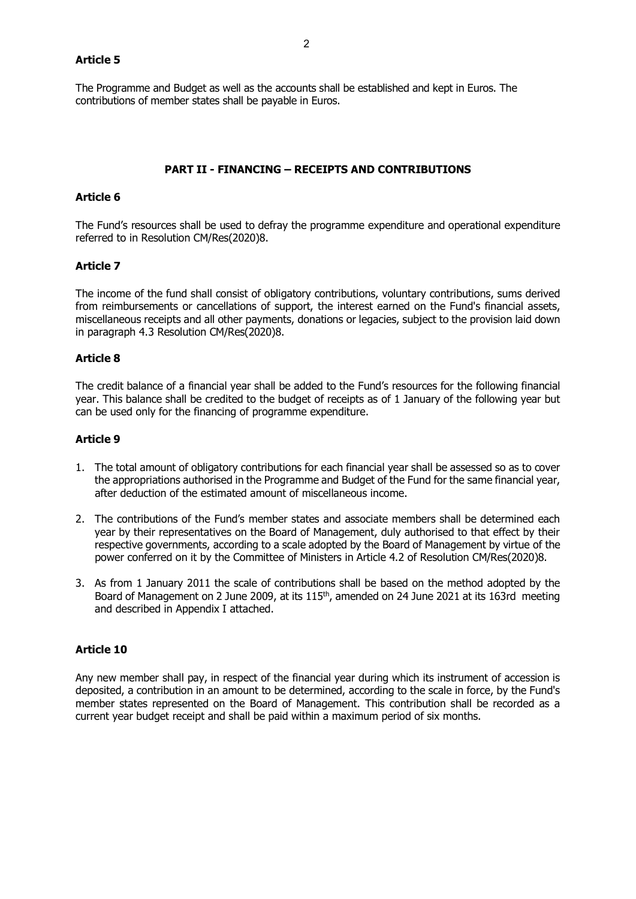### **Article 5**

The Programme and Budget as well as the accounts shall be established and kept in Euros. The contributions of member states shall be payable in Euros.

### **PART II - FINANCING – RECEIPTS AND CONTRIBUTIONS**

### **Article 6**

The Fund's resources shall be used to defray the programme expenditure and operational expenditure referred to in Resolution CM/Res(2020)8.

#### **Article 7**

The income of the fund shall consist of obligatory contributions, voluntary contributions, sums derived from reimbursements or cancellations of support, the interest earned on the Fund's financial assets, miscellaneous receipts and all other payments, donations or legacies, subject to the provision laid down in paragraph 4.3 Resolution CM/Res(2020)8.

#### **Article 8**

The credit balance of a financial year shall be added to the Fund's resources for the following financial year. This balance shall be credited to the budget of receipts as of 1 January of the following year but can be used only for the financing of programme expenditure.

## **Article 9**

- 1. The total amount of obligatory contributions for each financial year shall be assessed so as to cover the appropriations authorised in the Programme and Budget of the Fund for the same financial year, after deduction of the estimated amount of miscellaneous income.
- 2. The contributions of the Fund's member states and associate members shall be determined each year by their representatives on the Board of Management, duly authorised to that effect by their respective governments, according to a scale adopted by the Board of Management by virtue of the power conferred on it by the Committee of Ministers in Article 4.2 of Resolution CM/Res(2020)8.
- 3. As from 1 January 2011 the scale of contributions shall be based on the method adopted by the Board of Management on 2 June 2009, at its 115<sup>th</sup>, amended on 24 June 2021 at its 163rd meeting and described in Appendix I attached.

## **Article 10**

Any new member shall pay, in respect of the financial year during which its instrument of accession is deposited, a contribution in an amount to be determined, according to the scale in force, by the Fund's member states represented on the Board of Management. This contribution shall be recorded as a current year budget receipt and shall be paid within a maximum period of six months.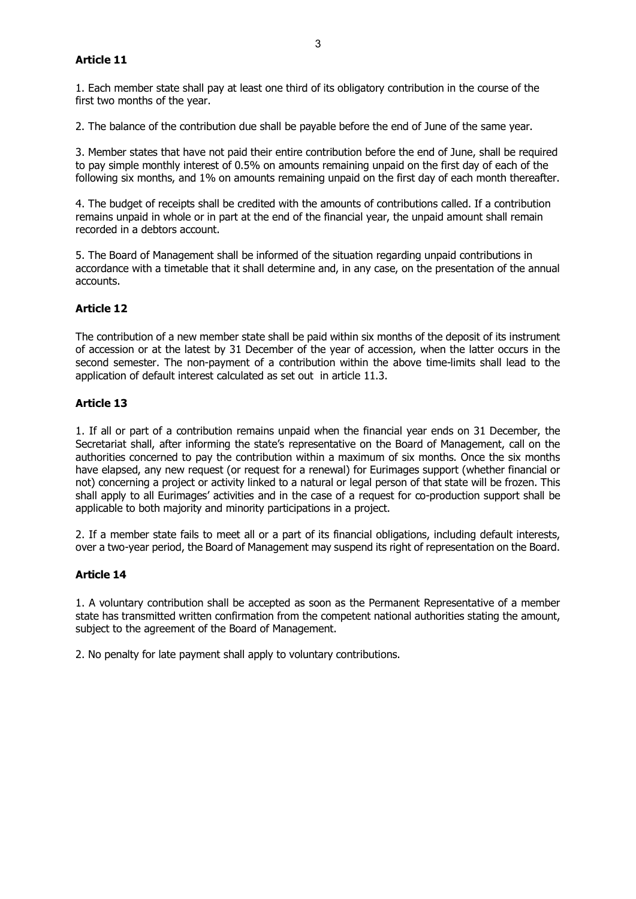# **Article 11**

1. Each member state shall pay at least one third of its obligatory contribution in the course of the first two months of the year.

2. The balance of the contribution due shall be payable before the end of June of the same year.

3. Member states that have not paid their entire contribution before the end of June, shall be required to pay simple monthly interest of 0.5% on amounts remaining unpaid on the first day of each of the following six months, and 1% on amounts remaining unpaid on the first day of each month thereafter.

4. The budget of receipts shall be credited with the amounts of contributions called. If a contribution remains unpaid in whole or in part at the end of the financial year, the unpaid amount shall remain recorded in a debtors account.

5. The Board of Management shall be informed of the situation regarding unpaid contributions in accordance with a timetable that it shall determine and, in any case, on the presentation of the annual accounts.

## **Article 12**

The contribution of a new member state shall be paid within six months of the deposit of its instrument of accession or at the latest by 31 December of the year of accession, when the latter occurs in the second semester. The non-payment of a contribution within the above time-limits shall lead to the application of default interest calculated as set out in article 11.3.

## **Article 13**

1. If all or part of a contribution remains unpaid when the financial year ends on 31 December, the Secretariat shall, after informing the state's representative on the Board of Management, call on the authorities concerned to pay the contribution within a maximum of six months. Once the six months have elapsed, any new request (or request for a renewal) for Eurimages support (whether financial or not) concerning a project or activity linked to a natural or legal person of that state will be frozen. This shall apply to all Eurimages' activities and in the case of a request for co-production support shall be applicable to both majority and minority participations in a project.

2. If a member state fails to meet all or a part of its financial obligations, including default interests, over a two-year period, the Board of Management may suspend its right of representation on the Board.

## **Article 14**

1. A voluntary contribution shall be accepted as soon as the Permanent Representative of a member state has transmitted written confirmation from the competent national authorities stating the amount, subject to the agreement of the Board of Management.

2. No penalty for late payment shall apply to voluntary contributions.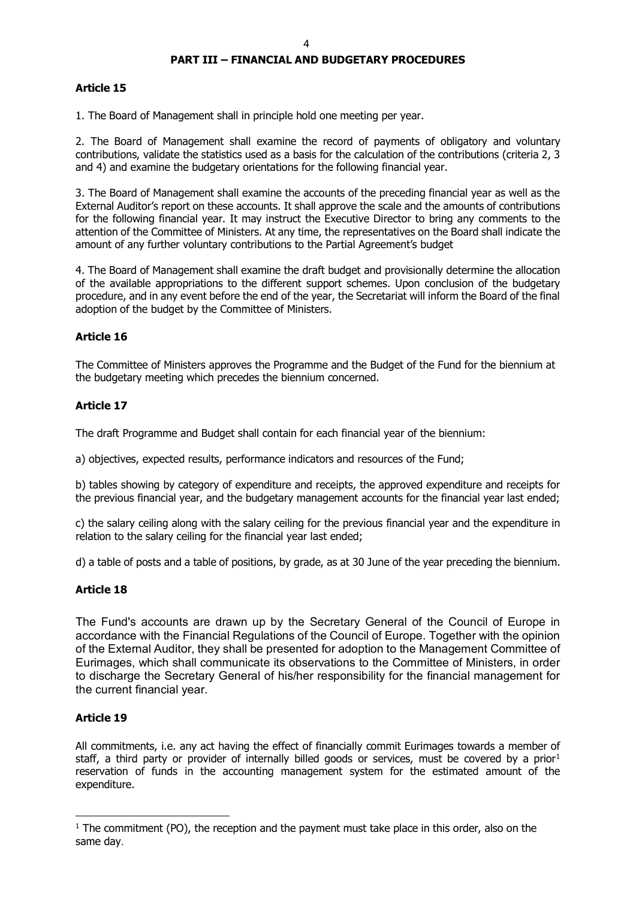# **PART III – FINANCIAL AND BUDGETARY PROCEDURES**

## **Article 15**

1. The Board of Management shall in principle hold one meeting per year.

2. The Board of Management shall examine the record of payments of obligatory and voluntary contributions, validate the statistics used as a basis for the calculation of the contributions (criteria 2, 3 and 4) and examine the budgetary orientations for the following financial year.

3. The Board of Management shall examine the accounts of the preceding financial year as well as the External Auditor's report on these accounts. It shall approve the scale and the amounts of contributions for the following financial year. It may instruct the Executive Director to bring any comments to the attention of the Committee of Ministers. At any time, the representatives on the Board shall indicate the amount of any further voluntary contributions to the Partial Agreement's budget

4. The Board of Management shall examine the draft budget and provisionally determine the allocation of the available appropriations to the different support schemes. Upon conclusion of the budgetary procedure, and in any event before the end of the year, the Secretariat will inform the Board of the final adoption of the budget by the Committee of Ministers.

## **Article 16**

The Committee of Ministers approves the Programme and the Budget of the Fund for the biennium at the budgetary meeting which precedes the biennium concerned.

## **Article 17**

The draft Programme and Budget shall contain for each financial year of the biennium:

a) objectives, expected results, performance indicators and resources of the Fund;

b) tables showing by category of expenditure and receipts, the approved expenditure and receipts for the previous financial year, and the budgetary management accounts for the financial year last ended;

c) the salary ceiling along with the salary ceiling for the previous financial year and the expenditure in relation to the salary ceiling for the financial year last ended;

d) a table of posts and a table of positions, by grade, as at 30 June of the year preceding the biennium.

## **Article 18**

The Fund's accounts are drawn up by the Secretary General of the Council of Europe in accordance with the Financial Regulations of the Council of Europe. Together with the opinion of the External Auditor, they shall be presented for adoption to the Management Committee of Eurimages, which shall communicate its observations to the Committee of Ministers, in order to discharge the Secretary General of his/her responsibility for the financial management for the current financial year.

## **Article 19**

All commitments, i.e. any act having the effect of financially commit Eurimages towards a member of staff, a third party or provider of internally billed goods or services, must be covered by a prior<sup>[1](#page-3-0)</sup> reservation of funds in the accounting management system for the estimated amount of the expenditure.

<span id="page-3-0"></span> $1$  The commitment (PO), the reception and the payment must take place in this order, also on the same day.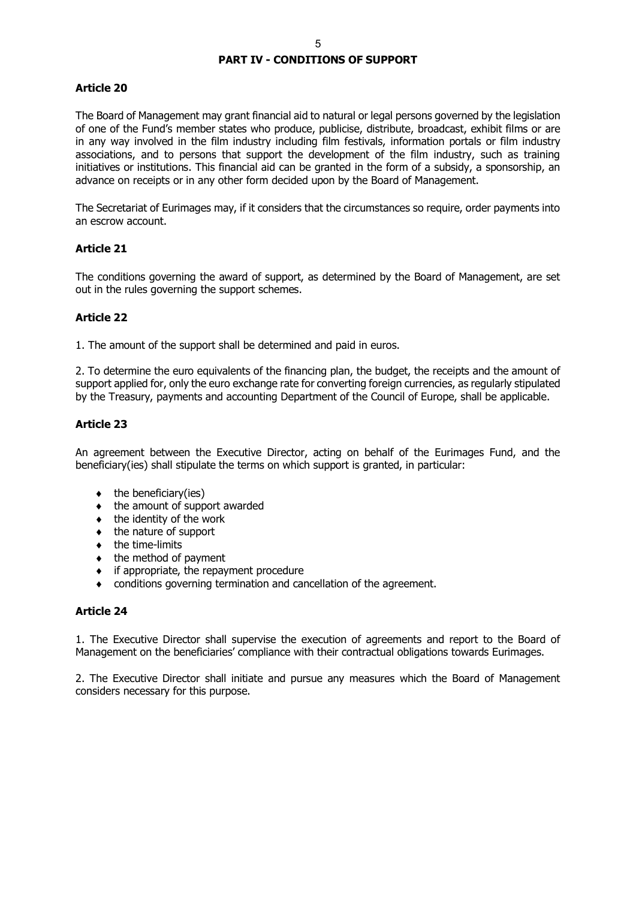## **PART IV - CONDITIONS OF SUPPORT**

## **Article 20**

The Board of Management may grant financial aid to natural or legal persons governed by the legislation of one of the Fund's member states who produce, publicise, distribute, broadcast, exhibit films or are in any way involved in the film industry including film festivals, information portals or film industry associations, and to persons that support the development of the film industry, such as training initiatives or institutions. This financial aid can be granted in the form of a subsidy, a sponsorship, an advance on receipts or in any other form decided upon by the Board of Management.

The Secretariat of Eurimages may, if it considers that the circumstances so require, order payments into an escrow account.

#### **Article 21**

The conditions governing the award of support, as determined by the Board of Management, are set out in the rules governing the support schemes.

#### **Article 22**

1. The amount of the support shall be determined and paid in euros.

2. To determine the euro equivalents of the financing plan, the budget, the receipts and the amount of support applied for, only the euro exchange rate for converting foreign currencies, as regularly stipulated by the Treasury, payments and accounting Department of the Council of Europe, shall be applicable.

## **Article 23**

An agreement between the Executive Director, acting on behalf of the Eurimages Fund, and the beneficiary(ies) shall stipulate the terms on which support is granted, in particular:

- $\bullet$  the beneficiary(ies)
- ♦ the amount of support awarded
- $\bullet$  the identity of the work
- $\bullet$  the nature of support
- ♦ the time-limits
- $\bullet$  the method of payment
- ♦ if appropriate, the repayment procedure
- conditions governing termination and cancellation of the agreement.

## **Article 24**

1. The Executive Director shall supervise the execution of agreements and report to the Board of Management on the beneficiaries' compliance with their contractual obligations towards Eurimages.

2. The Executive Director shall initiate and pursue any measures which the Board of Management considers necessary for this purpose.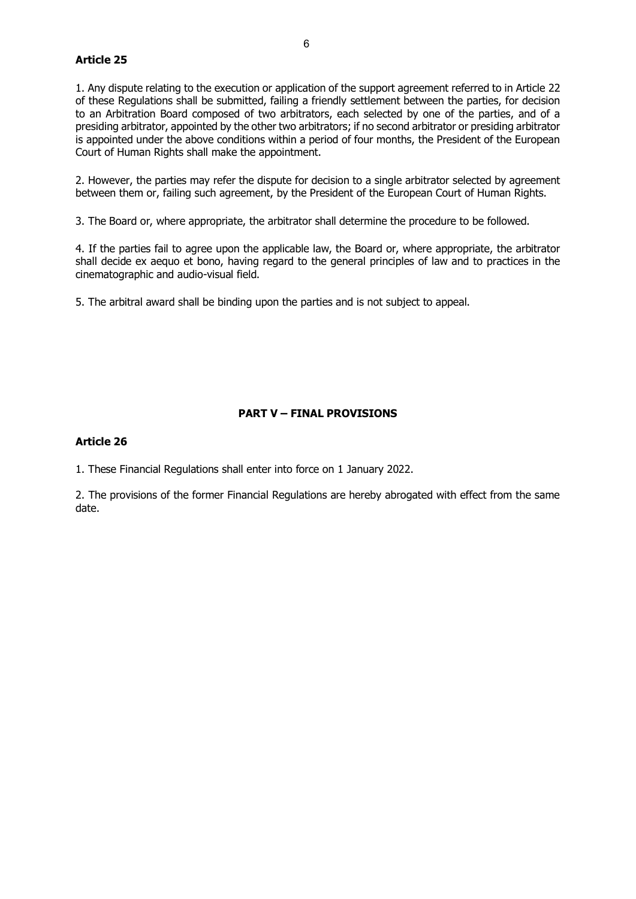## **Article 25**

1. Any dispute relating to the execution or application of the support agreement referred to in Article 22 of these Regulations shall be submitted, failing a friendly settlement between the parties, for decision to an Arbitration Board composed of two arbitrators, each selected by one of the parties, and of a presiding arbitrator, appointed by the other two arbitrators; if no second arbitrator or presiding arbitrator is appointed under the above conditions within a period of four months, the President of the European Court of Human Rights shall make the appointment.

2. However, the parties may refer the dispute for decision to a single arbitrator selected by agreement between them or, failing such agreement, by the President of the European Court of Human Rights.

3. The Board or, where appropriate, the arbitrator shall determine the procedure to be followed.

4. If the parties fail to agree upon the applicable law, the Board or, where appropriate, the arbitrator shall decide ex aequo et bono, having regard to the general principles of law and to practices in the cinematographic and audio-visual field.

5. The arbitral award shall be binding upon the parties and is not subject to appeal.

## **PART V – FINAL PROVISIONS**

#### **Article 26**

1. These Financial Regulations shall enter into force on 1 January 2022.

2. The provisions of the former Financial Regulations are hereby abrogated with effect from the same date.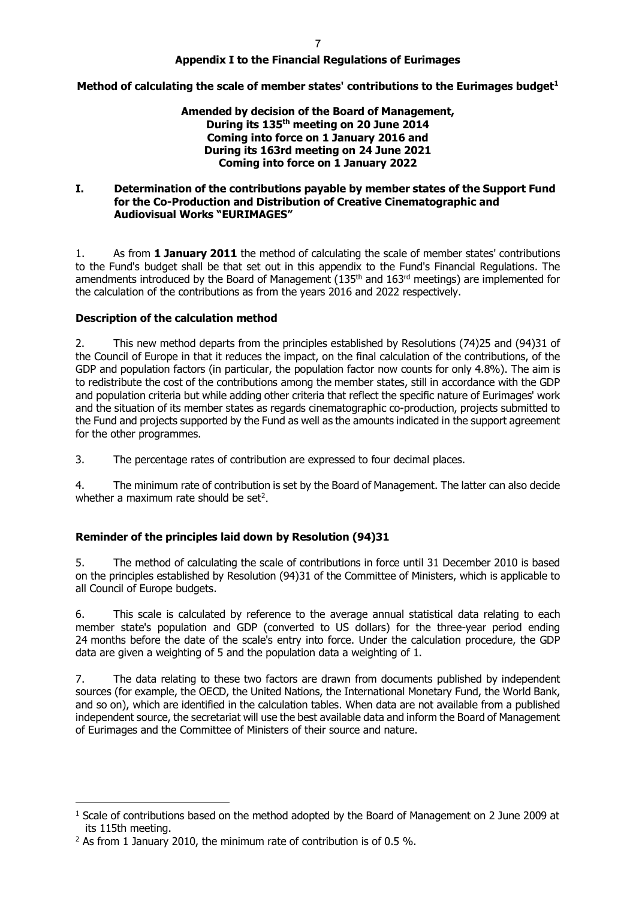## **Appendix I to the Financial Regulations of Eurimages**

## **Method of calculating the scale of member states' contributions to the Eurimages budget[1](#page-6-0)**

## **Amended by decision of the Board of Management, During its 135th meeting on 20 June 2014 Coming into force on 1 January 2016 and During its 163rd meeting on 24 June 2021 Coming into force on 1 January 2022**

### **I. Determination of the contributions payable by member states of the Support Fund for the Co-Production and Distribution of Creative Cinematographic and Audiovisual Works "EURIMAGES"**

1. As from **1 January 2011** the method of calculating the scale of member states' contributions to the Fund's budget shall be that set out in this appendix to the Fund's Financial Regulations. The amendments introduced by the Board of Management (135<sup>th</sup> and 163<sup>rd</sup> meetings) are implemented for the calculation of the contributions as from the years 2016 and 2022 respectively.

## **Description of the calculation method**

2. This new method departs from the principles established by Resolutions (74)25 and (94)31 of the Council of Europe in that it reduces the impact, on the final calculation of the contributions, of the GDP and population factors (in particular, the population factor now counts for only 4.8%). The aim is to redistribute the cost of the contributions among the member states, still in accordance with the GDP and population criteria but while adding other criteria that reflect the specific nature of Eurimages' work and the situation of its member states as regards cinematographic co-production, projects submitted to the Fund and projects supported by the Fund as well as the amounts indicated in the support agreement for the other programmes.

3. The percentage rates of contribution are expressed to four decimal places.

4. The minimum rate of contribution is set by the Board of Management. The latter can also decide whether a maximum rate should be set<sup>[2](#page-6-1)</sup>.

## **Reminder of the principles laid down by Resolution (94)31**

5. The method of calculating the scale of contributions in force until 31 December 2010 is based on the principles established by Resolution (94)31 of the Committee of Ministers, which is applicable to all Council of Europe budgets.

6. This scale is calculated by reference to the average annual statistical data relating to each member state's population and GDP (converted to US dollars) for the three-year period ending 24 months before the date of the scale's entry into force. Under the calculation procedure, the GDP data are given a weighting of 5 and the population data a weighting of 1.

7. The data relating to these two factors are drawn from documents published by independent sources (for example, the OECD, the United Nations, the International Monetary Fund, the World Bank, and so on), which are identified in the calculation tables. When data are not available from a published independent source, the secretariat will use the best available data and inform the Board of Management of Eurimages and the Committee of Ministers of their source and nature.

<span id="page-6-0"></span> $<sup>1</sup>$  Scale of contributions based on the method adopted by the Board of Management on 2 June 2009 at</sup> its 115th meeting.

<span id="page-6-1"></span> $2$  As from 1 January 2010, the minimum rate of contribution is of 0.5 %.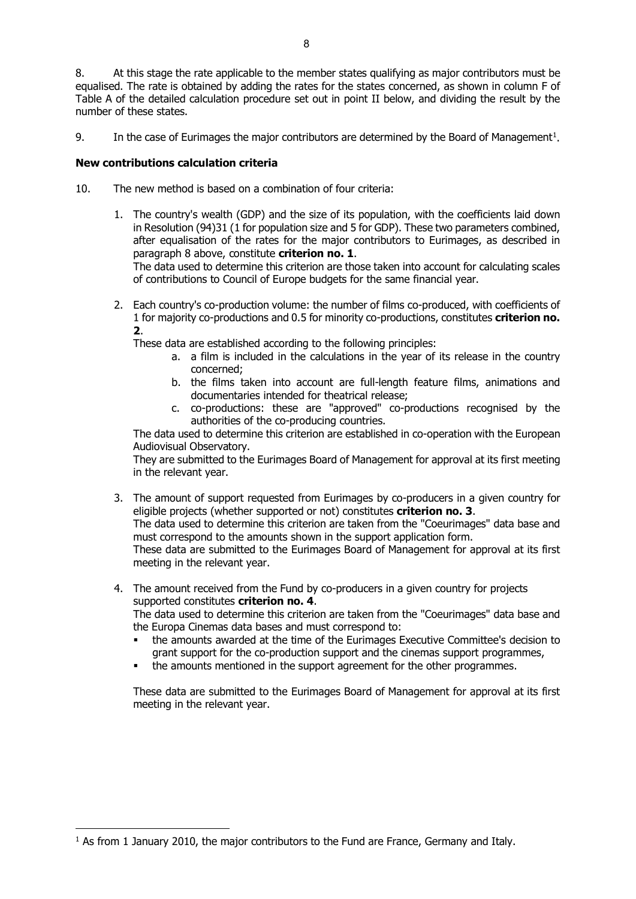8. At this stage the rate applicable to the member states qualifying as major contributors must be equalised. The rate is obtained by adding the rates for the states concerned, as shown in column F of Table A of the detailed calculation procedure set out in point II below, and dividing the result by the number of these states.

9. In the case of Eurimages the major contributors are determined by the Board of Management<sup>[1](#page-7-0)</sup>.

### **New contributions calculation criteria**

- 10. The new method is based on a combination of four criteria:
	- 1. The country's wealth (GDP) and the size of its population, with the coefficients laid down in Resolution (94)31 (1 for population size and 5 for GDP). These two parameters combined, after equalisation of the rates for the major contributors to Eurimages, as described in paragraph 8 above, constitute **criterion no. 1**.

The data used to determine this criterion are those taken into account for calculating scales of contributions to Council of Europe budgets for the same financial year.

2. Each country's co-production volume: the number of films co-produced, with coefficients of 1 for majority co-productions and 0.5 for minority co-productions, constitutes **criterion no. 2**.

These data are established according to the following principles:

- a. a film is included in the calculations in the year of its release in the country concerned;
- b. the films taken into account are full-length feature films, animations and documentaries intended for theatrical release;
- c. co-productions: these are "approved" co-productions recognised by the authorities of the co-producing countries.

The data used to determine this criterion are established in co-operation with the European Audiovisual Observatory.

They are submitted to the Eurimages Board of Management for approval at its first meeting in the relevant year.

- 3. The amount of support requested from Eurimages by co-producers in a given country for eligible projects (whether supported or not) constitutes **criterion no. 3**. The data used to determine this criterion are taken from the "Coeurimages" data base and must correspond to the amounts shown in the support application form. These data are submitted to the Eurimages Board of Management for approval at its first meeting in the relevant year.
- 4. The amount received from the Fund by co-producers in a given country for projects supported constitutes **criterion no. 4**.

The data used to determine this criterion are taken from the "Coeurimages" data base and the Europa Cinemas data bases and must correspond to:

- the amounts awarded at the time of the Eurimages Executive Committee's decision to grant support for the co-production support and the cinemas support programmes,
- the amounts mentioned in the support agreement for the other programmes.

These data are submitted to the Eurimages Board of Management for approval at its first meeting in the relevant year.

<span id="page-7-0"></span><sup>&</sup>lt;sup>1</sup> As from 1 January 2010, the major contributors to the Fund are France, Germany and Italy.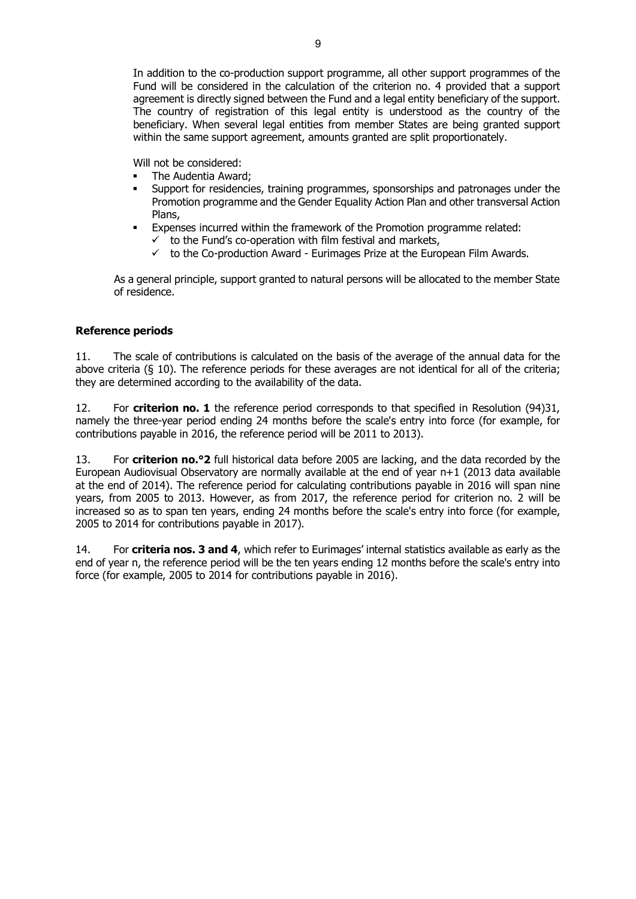In addition to the co-production support programme, all other support programmes of the Fund will be considered in the calculation of the criterion no. 4 provided that a support agreement is directly signed between the Fund and a legal entity beneficiary of the support. The country of registration of this legal entity is understood as the country of the beneficiary. When several legal entities from member States are being granted support within the same support agreement, amounts granted are split proportionately.

Will not be considered:

- The Audentia Award;
- Support for residencies, training programmes, sponsorships and patronages under the Promotion programme and the Gender Equality Action Plan and other transversal Action Plans,
- **Expenses incurred within the framework of the Promotion programme related:** 
	- $\checkmark$  to the Fund's co-operation with film festival and markets,
	- $\checkmark$  to the Co-production Award Eurimages Prize at the European Film Awards.

As a general principle, support granted to natural persons will be allocated to the member State of residence.

# **Reference periods**

11. The scale of contributions is calculated on the basis of the average of the annual data for the above criteria (§ 10). The reference periods for these averages are not identical for all of the criteria; they are determined according to the availability of the data.

12. For **criterion no. 1** the reference period corresponds to that specified in Resolution (94)31, namely the three-year period ending 24 months before the scale's entry into force (for example, for contributions payable in 2016, the reference period will be 2011 to 2013).

13. For **criterion no.°2** full historical data before 2005 are lacking, and the data recorded by the European Audiovisual Observatory are normally available at the end of year n+1 (2013 data available at the end of 2014). The reference period for calculating contributions payable in 2016 will span nine years, from 2005 to 2013. However, as from 2017, the reference period for criterion no. 2 will be increased so as to span ten years, ending 24 months before the scale's entry into force (for example, 2005 to 2014 for contributions payable in 2017).

14. For **criteria nos. 3 and 4**, which refer to Eurimages' internal statistics available as early as the end of year n, the reference period will be the ten years ending 12 months before the scale's entry into force (for example, 2005 to 2014 for contributions payable in 2016).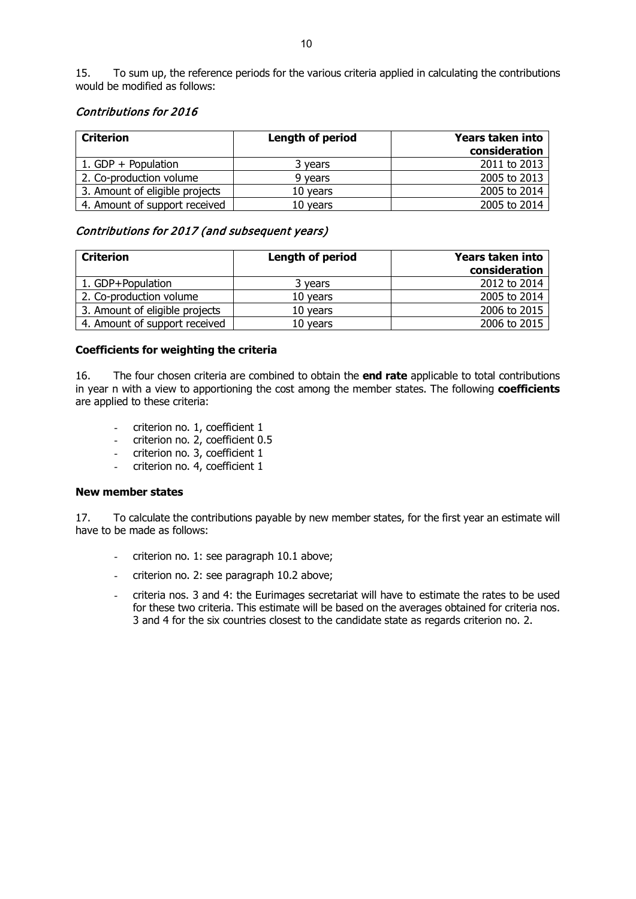15. To sum up, the reference periods for the various criteria applied in calculating the contributions would be modified as follows:

## Contributions for 2016

| <b>Criterion</b>               | <b>Length of period</b> | <b>Years taken into</b><br>consideration |
|--------------------------------|-------------------------|------------------------------------------|
| 1. $GDP + Population$          | 3 years                 | 2011 to 2013                             |
| 2. Co-production volume        | 9 years                 | 2005 to 2013                             |
| 3. Amount of eligible projects | 10 years                | 2005 to 2014                             |
| 4. Amount of support received  | 10 years                | 2005 to 2014                             |

# Contributions for 2017 (and subsequent years)

| <b>Criterion</b>               | Length of period | Years taken into<br>consideration |
|--------------------------------|------------------|-----------------------------------|
| 1. GDP+Population              | 3 years          | 2012 to 2014                      |
| 2. Co-production volume        | 10 years         | 2005 to 2014                      |
| 3. Amount of eligible projects | 10 years         | 2006 to 2015                      |
| 4. Amount of support received  | 10 years         | 2006 to 2015                      |

## **Coefficients for weighting the criteria**

16. The four chosen criteria are combined to obtain the **end rate** applicable to total contributions in year n with a view to apportioning the cost among the member states. The following **coefficients** are applied to these criteria:

- criterion no. 1, coefficient 1
- criterion no. 2, coefficient 0.5
- criterion no. 3, coefficient 1
- criterion no. 4, coefficient 1

## **New member states**

17. To calculate the contributions payable by new member states, for the first year an estimate will have to be made as follows:

- criterion no. 1: see paragraph 10.1 above;
- criterion no. 2: see paragraph 10.2 above;
- criteria nos. 3 and 4: the Eurimages secretariat will have to estimate the rates to be used for these two criteria. This estimate will be based on the averages obtained for criteria nos. 3 and 4 for the six countries closest to the candidate state as regards criterion no. 2.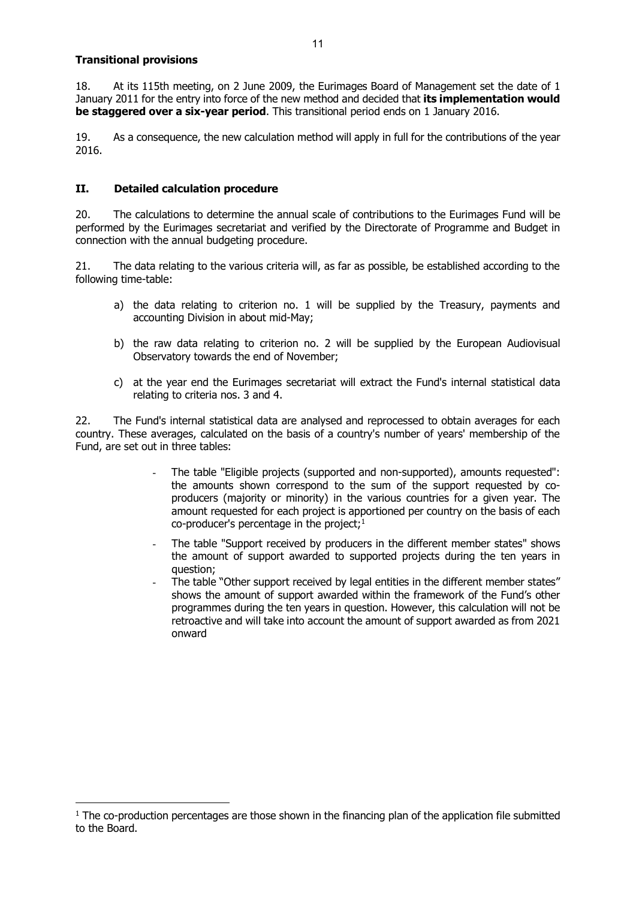## **Transitional provisions**

18. At its 115th meeting, on 2 June 2009, the Eurimages Board of Management set the date of 1 January 2011 for the entry into force of the new method and decided that **its implementation would be staggered over a six-year period**. This transitional period ends on 1 January 2016.

19. As a consequence, the new calculation method will apply in full for the contributions of the year 2016.

# **II. Detailed calculation procedure**

20. The calculations to determine the annual scale of contributions to the Eurimages Fund will be performed by the Eurimages secretariat and verified by the Directorate of Programme and Budget in connection with the annual budgeting procedure.

21. The data relating to the various criteria will, as far as possible, be established according to the following time-table:

- a) the data relating to criterion no. 1 will be supplied by the Treasury, payments and accounting Division in about mid-May;
- b) the raw data relating to criterion no. 2 will be supplied by the European Audiovisual Observatory towards the end of November;
- c) at the year end the Eurimages secretariat will extract the Fund's internal statistical data relating to criteria nos. 3 and 4.

22. The Fund's internal statistical data are analysed and reprocessed to obtain averages for each country. These averages, calculated on the basis of a country's number of years' membership of the Fund, are set out in three tables:

- The table "Eligible projects (supported and non-supported), amounts requested": the amounts shown correspond to the sum of the support requested by coproducers (majority or minority) in the various countries for a given year. The amount requested for each project is apportioned per country on the basis of each  $co$ -producer's percentage in the project;<sup>1</sup>
- The table "Support received by producers in the different member states" shows the amount of support awarded to supported projects during the ten years in question;
- The table "Other support received by legal entities in the different member states" shows the amount of support awarded within the framework of the Fund's other programmes during the ten years in question. However, this calculation will not be retroactive and will take into account the amount of support awarded as from 2021 onward

<span id="page-10-0"></span> $1$  The co-production percentages are those shown in the financing plan of the application file submitted to the Board.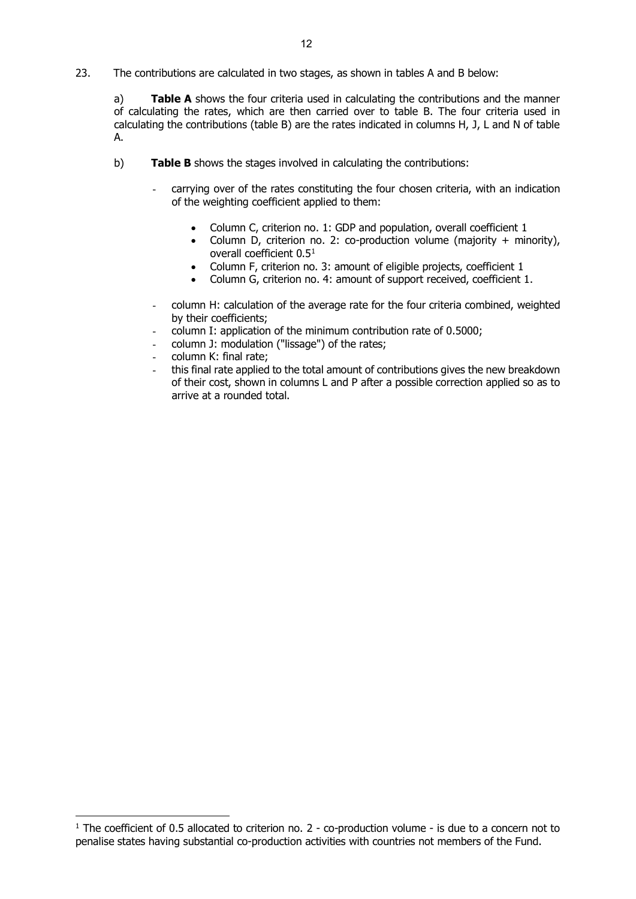23. The contributions are calculated in two stages, as shown in tables A and B below:

a) **Table A** shows the four criteria used in calculating the contributions and the manner of calculating the rates, which are then carried over to table B. The four criteria used in calculating the contributions (table B) are the rates indicated in columns H, J, L and N of table A.

- <span id="page-11-0"></span>b) **Table B** shows the stages involved in calculating the contributions:
	- carrying over of the rates constituting the four chosen criteria, with an indication of the weighting coefficient applied to them:
		- Column C, criterion no. 1: GDP and population, overall coefficient 1
		- Column D, criterion no. 2: co-production volume (majority + minority), overall coefficient 0.5[1](#page-11-0)
		- Column F, criterion no. 3: amount of eligible projects, coefficient 1
		- Column G, criterion no. 4: amount of support received, coefficient 1.
	- column H: calculation of the average rate for the four criteria combined, weighted by their coefficients;
	- column I: application of the minimum contribution rate of 0.5000;
	- column J: modulation ("lissage") of the rates;
	- column K: final rate:
	- this final rate applied to the total amount of contributions gives the new breakdown of their cost, shown in columns L and P after a possible correction applied so as to arrive at a rounded total.